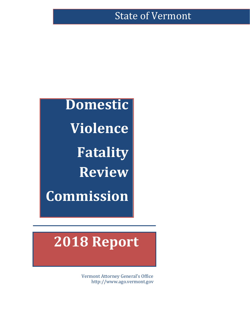# State of Vermont

**Domestic Violence Fatality Review Commission**

# **2018 Report**

Vermont Attorney General's Office [http://www.ago.vermont.gov](http://www.ago.vermont.gov/)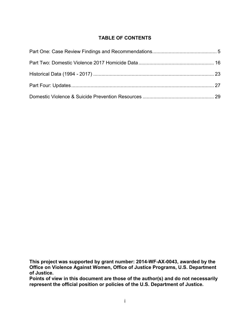# **TABLE OF CONTENTS**

**This project was supported by grant number: 2014-WF-AX-0043, awarded by the Office on Violence Against Women, Office of Justice Programs, U.S. Department of Justice.**

**Points of view in this document are those of the author(s) and do not necessarily represent the official position or policies of the U.S. Department of Justice.**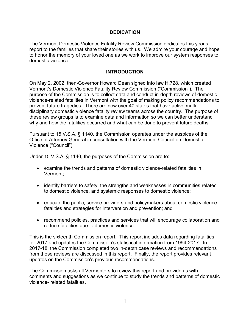#### **DEDICATION**

The Vermont Domestic Violence Fatality Review Commission dedicates this year's report to the families that share their stories with us. We admire your courage and hope to honor the memory of your loved one as we work to improve our system responses to domestic violence.

# **INTRODUCTION**

On May 2, 2002, then-Governor Howard Dean signed into law H.728, which created Vermont's Domestic Violence Fatality Review Commission ("Commission"). The purpose of the Commission is to collect data and conduct in-depth reviews of domestic violence-related fatalities in Vermont with the goal of making policy recommendations to prevent future tragedies. There are now over 40 states that have active multidisciplinary domestic violence fatality review teams across the country. The purpose of these review groups is to examine data and information so we can better understand why and how the fatalities occurred and what can be done to prevent future deaths.

Pursuant to 15 V.S.A. § 1140, the Commission operates under the auspices of the Office of Attorney General in consultation with the Vermont Council on Domestic Violence ("Council").

Under 15 V.S.A. § 1140, the purposes of the Commission are to:

- examine the trends and patterns of domestic violence-related fatalities in Vermont;
- identify barriers to safety, the strengths and weaknesses in communities related to domestic violence, and systemic responses to domestic violence;
- educate the public, service providers and policymakers about domestic violence fatalities and strategies for intervention and prevention; and
- recommend policies, practices and services that will encourage collaboration and reduce fatalities due to domestic violence.

This is the sixteenth Commission report. This report includes data regarding fatalities for 2017 and updates the Commission's statistical information from 1994-2017. In 2017-18, the Commission completed two in-depth case reviews and recommendations from those reviews are discussed in this report. Finally, the report provides relevant updates on the Commission's previous recommendations.

The Commission asks all Vermonters to review this report and provide us with comments and suggestions as we continue to study the trends and patterns of domestic violence- related fatalities.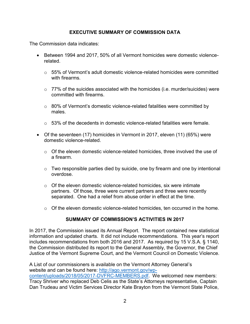# **EXECUTIVE SUMMARY OF COMMISSION DATA**

The Commission data indicates:

- Between 1994 and 2017, 50% of all Vermont homicides were domestic violencerelated.
	- $\circ$  55% of Vermont's adult domestic violence-related homicides were committed with firearms.
	- $\circ$  77% of the suicides associated with the homicides (i.e. murder/suicides) were committed with firearms.
	- o 80% of Vermont's domestic violence-related fatalities were committed by males.
	- $\circ$  53% of the decedents in domestic violence-related fatalities were female.
- Of the seventeen (17) homicides in Vermont in 2017, eleven (11) (65%) were domestic violence-related.
	- $\circ$  Of the eleven domestic violence-related homicides, three involved the use of a firearm.
	- $\circ$  Two responsible parties died by suicide, one by firearm and one by intentional overdose.
	- $\circ$  Of the eleven domestic violence-related homicides, six were intimate partners. Of those, three were current partners and three were recently separated. One had a relief from abuse order in effect at the time.
	- $\circ$  Of the eleven domestic violence-related homicides, ten occurred in the home.

# **SUMMARY OF COMMISSION'S ACTIVITIES IN 2017**

In 2017, the Commission issued its Annual Report. The report contained new statistical information and updated charts. It did not include recommendations. This year's report includes recommendations from both 2016 and 2017. As required by 15 V.S.A. § 1140, the Commission distributed its report to the General Assembly, the Governor, the Chief Justice of the Vermont Supreme Court, and the Vermont Council on Domestic Violence.

A List of our commissioners is available on the Vermont Attorney General's website and can be found here: [http://ago.vermont.gov/wp](http://ago.vermont.gov/wp-content/uploads/2018/05/2017-DVFRC-MEMBERS.pdf)[content/uploads/2018/05/2017-DVFRC-MEMBERS.pdf.](http://ago.vermont.gov/wp-content/uploads/2018/05/2017-DVFRC-MEMBERS.pdf) We welcomed new members: Tracy Shriver who replaced Deb Celis as the State's Attorneys representative, Captain Dan Trudeau and Victim Services Director Kate Brayton from the Vermont State Police,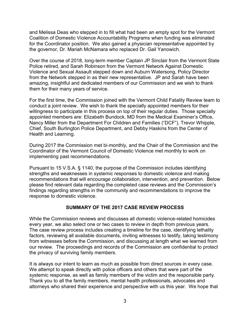and Melissa Deas who stepped in to fill what had been an empty spot for the Vermont Coalition of Domestic Violence Accountability Programs when funding was eliminated for the Coordinator position. We also gained a physician representative appointed by the governor, Dr. Mariah McNamara who replaced Dr. Gail Yanowich.

Over the course of 2018, long-term member Captain JP Sinclair from the Vermont State Police retired, and Sarah Robinson from the Vermont Network Against Domestic Violence and Sexual Assault stepped down and Auburn Watersong, Policy Director from the Network stepped in as their new representative. JP and Sarah have been amazing, insightful and dedicated members of our Commission and we wish to thank them for their many years of service.

For the first time, the Commission joined with the Vermont Child Fatality Review team to conduct a joint review. We wish to thank the specially appointed members for their willingness to participate in this process on top of their regular duties. Those specially appointed members are: Elizabeth Bundock, MD from the Medical Examiner's Office, Nancy Miller from the Department For Children and Families ("DCF"), Trevor Whipple, Chief, South Burlington Police Department, and Debby Haskins from the Center of Health and Learning.

During 2017 the Commission met bi-monthly, and the Chair of the Commission and the Coordinator of the Vermont Council of Domestic Violence met monthly to work on implementing past recommendations.

Pursuant to 15 V.S.A. § 1140, the purpose of the Commission includes identifying strengths and weaknesses in systemic responses to domestic violence and making recommendations that will encourage collaboration, intervention, and prevention. Below please find relevant data regarding the completed case reviews and the Commission's findings regarding strengths in the community and recommendations to improve the response to domestic violence.

# **SUMMARY OF THE 2017 CASE REVIEW PROCESS**

While the Commission reviews and discusses all domestic violence-related homicides every year, we also select one or two cases to review in depth from previous years. The case review process includes creating a timeline for the case, identifying lethality factors, reviewing all available documents, inviting witnesses to testify, taking testimony from witnesses before the Commission, and discussing at length what we learned from our review. The proceedings and records of the Commission are confidential to protect the privacy of surviving family members.

It is always our intent to learn as much as possible from direct sources in every case. We attempt to speak directly with police officers and others that were part of the systemic response, as well as family members of the victim and the responsible party. Thank you to all the family members, mental health professionals, advocates and attorneys who shared their experience and perspective with us this year. We hope that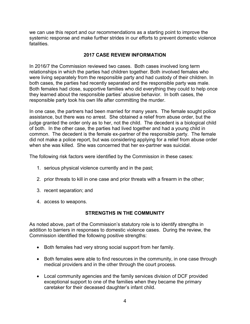we can use this report and our recommendations as a starting point to improve the systemic response and make further strides in our efforts to prevent domestic violence fatalities.

## **2017 CASE REVIEW INFORMATION**

In 2016/7 the Commission reviewed two cases. Both cases involved long term relationships in which the parties had children together. Both involved females who were living separately from the responsible party and had custody of their children. In both cases, the parties had recently separated and the responsible party was male. Both females had close, supportive families who did everything they could to help once they learned about the responsible parties' abusive behavior. In both cases, the responsible party took his own life after committing the murder.

In one case, the partners had been married for many years. The female sought police assistance, but there was no arrest. She obtained a relief from abuse order, but the judge granted the order only as to her, not the child. The decedent is a biological child of both. In the other case, the parties had lived together and had a young child in common. The decedent is the female ex-partner of the responsible party. The female did not make a police report, but was considering applying for a relief from abuse order when she was killed. She was concerned that her ex-partner was suicidal.

The following risk factors were identified by the Commission in these cases:

- 1. serious physical violence currently and in the past;
- 2. prior threats to kill in one case and prior threats with a firearm in the other;
- 3. recent separation; and
- 4. access to weapons.

# **STRENGTHS IN THE COMMUNITY**

As noted above, part of the Commission's statutory role is to identify strengths in addition to barriers in responses to domestic violence cases. During the review, the Commission identified the following positive strengths:

- Both females had very strong social support from her family.
- Both females were able to find resources in the community, in one case through medical providers and in the other through the court process.
- Local community agencies and the family services division of DCF provided exceptional support to one of the families when they became the primary caretaker for their deceased daughter's infant child.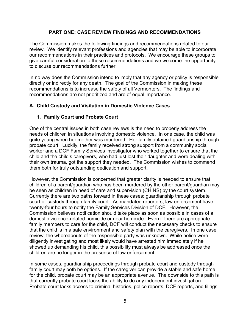## **PART ONE: CASE REVIEW FINDINGS AND RECOMMENDATIONS**

The Commission makes the following findings and recommendations related to our review. We identify relevant professions and agencies that may be able to incorporate our recommendations in their practices and protocols. We encourage these groups to give careful consideration to these recommendations and we welcome the opportunity to discuss our recommendations further.

In no way does the Commission intend to imply that any agency or policy is responsible directly or indirectly for any death. The goal of the Commission in making these recommendations is to increase the safety of all Vermonters. The findings and recommendations are not prioritized and are of equal importance.

# **A. Child Custody and Visitation in Domestic Violence Cases**

#### **1. Family Court and Probate Court**

One of the central issues in both case reviews is the need to properly address the needs of children in situations involving domestic violence. In one case, the child was quite young when her mother was murdered. Her family obtained guardianship through probate court. Luckily, the family received strong support from a community social worker and a DCF Family Services investigator who worked together to ensure that the child and the child's caregivers, who had just lost their daughter and were dealing with their own trauma, got the support they needed. The Commission wishes to commend them both for truly outstanding dedication and support.

However, the Commission is concerned that greater clarity is needed to ensure that children of a parent/guardian who has been murdered by the other parent/guardian may be seen as children in need of care and supervision (CHINS) by the court system. Currently there are two paths forward in these cases: guardianship through probate court or custody through family court. As mandated reporters, law enforcement have twenty-four hours to notify the Family Services Division of DCF. However, the Commission believes notification should take place as soon as possible in cases of a domestic violence-related homicide or near homicide. Even if there are appropriate family members to care for the child, DCF will conduct the necessary checks to ensure that the child is in a safe environment and safety plan with the caregivers. In one case review, the whereabouts of the responsible party was unknown. While police were diligently investigating and most likely would have arrested him immediately if he showed up demanding his child, this possibility must always be addressed once the children are no longer in the presence of law enforcement.

In some cases, guardianship proceedings through probate court and custody through family court may both be options. If the caregiver can provide a stable and safe home for the child, probate court may be an appropriate avenue. The downside to this path is that currently probate court lacks the ability to do any independent investigation. Probate court lacks access to criminal histories, police reports, DCF reports, and filings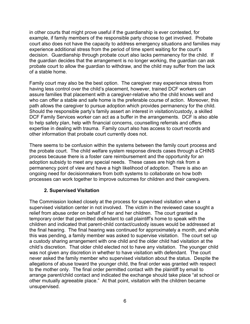in other courts that might prove useful if the guardianship is ever contested, for example, if family members of the responsible party choose to get involved. Probate court also does not have the capacity to address emergency situations and families may experience additional stress from the period of time spent waiting for the court's decision. Guardianship through probate court also lacks permanency for the child. If the guardian decides that the arrangement is no longer working, the guardian can ask probate court to allow the guardian to withdraw, and the child may suffer from the lack of a stable home.

Family court may also be the best option. The caregiver may experience stress from having less control over the child's placement, however, trained DCF workers can assure families that placement with a caregiver-relative who the child knows well and who can offer a stable and safe home is the preferable course of action. Moreover, this path allows the caregiver to pursue adoption which provides permanency for the child. Should the responsible party's family assert an interest in visitation/custody, a skilled DCF Family Services worker can act as a buffer in the arrangements. DCF is also able to help safety plan, help with financial concerns, counselling referrals and offers expertise in dealing with trauma. Family court also has access to court records and other information that probate court currently does not.

There seems to be confusion within the systems between the family court process and the probate court. The child welfare system response directs cases through a CHINS process because there is a foster care reimbursement and the opportunity for an adoption subsidy to meet any special needs. These cases are high risk from a permanency point of view and have a high likelihood of adoption. There is also an ongoing need for decisionmakers from both systems to collaborate on how both processes can work together to improve outcomes for children and their caregivers.

# **2. Supervised Visitation**

The Commission looked closely at the process for supervised visitation when a supervised visitation center in not involved. The victim in the reviewed case sought a relief from abuse order on behalf of her and her children. The court granted a temporary order that permitted defendant to call plaintiff's home to speak with the children and indicated that parent-child contact/custody issues would be addressed at the final hearing. The final hearing was continued for approximately a month, and while this was pending, a family member was asked to supervise visitation. The court set up a custody sharing arrangement with one child and the older child had visitation at the child's discretion. That older child elected not to have any visitation. The younger child was not given any discretion in whether to have visitation with defendant. The court never asked the family member who supervised visitation about the status. Despite the allegations of abuse toward the younger child, the final order was granted with respect to the mother only. The final order permitted contact with the plaintiff by email to arrange parent/child contact and indicated the exchange should take place "at school or other mutually agreeable place." At that point, visitation with the children became unsupervised.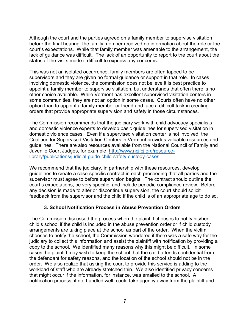Although the court and the parties agreed on a family member to supervise visitation before the final hearing, the family member received no information about the role or the court's expectations. While that family member was amenable to the arrangement, the lack of guidance was difficult. The lack of an opportunity to report to the court about the status of the visits made it difficult to express any concerns.

This was not an isolated occurrence, family members are often tapped to be supervisors and they are given no formal guidance or support in that role. In cases involving domestic violence, the commission does not believe it is best practice to appoint a family member to supervise visitation, but understands that often there is no other choice available. While Vermont has excellent supervised visitation centers in some communities, they are not an option in some cases. Courts often have no other option than to appoint a family member or friend and face a difficult task in creating orders that provide appropriate supervision and safety in those circumstances.

The Commission recommends that the judiciary work with child advocacy specialists and domestic violence experts to develop basic guidelines for supervised visitation in domestic violence cases. Even if a supervised visitation center is not involved, the Coalition for Supervised Visitation Centers in Vermont provides valuable resources and guidelines. There are also resources available from the National Council of Family and Juvenile Court Judges, for example [http://www.ncjfcj.org/resource](http://www.ncjfcj.org/resource-library/publications/judicial-guide-child-safety-custody-cases)[library/publications/judicial-guide-child-safety-custody-cases](http://www.ncjfcj.org/resource-library/publications/judicial-guide-child-safety-custody-cases)

We recommend that the judiciary, in partnership with these resources, develop guidelines to create a case-specific contract in each proceeding that all parties and the supervisor must agree to before supervision begins. The contract should outline the court's expectations, be very specific, and include periodic compliance review. Before any decision is made to alter or discontinue supervision, the court should solicit feedback from the supervisor and the child if the child is of an appropriate age to do so.

# **3. School Notification Process in Abuse Prevention Orders**

The Commission discussed the process when the plaintiff chooses to notify his/her child's school if the child is included in the abuse prevention order or if child custody arrangements are taking place at the school as part of the order. When the victim chooses to notify the school, the Commission wondered if there was a safe way for the judiciary to collect this information and assist the plaintiff with notification by providing a copy to the school. We identified many reasons why this might be difficult. In some cases the plaintiff may wish to keep the school that the child attends confidential from the defendant for safety reasons, and the location of the school should not be in the order. We also realize that asking the court to provide this service is adding to the workload of staff who are already stretched thin. We also identified privacy concerns that might occur if the information, for instance, was emailed to the school. A notification process, if not handled well, could take agency away from the plaintiff and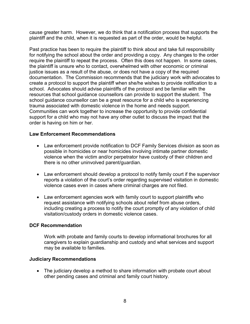cause greater harm. However, we do think that a notification process that supports the plaintiff and the child, when it is requested as part of the order, would be helpful.

Past practice has been to require the plaintiff to think about and take full responsibility for notifying the school about the order and providing a copy. Any changes to the order require the plaintiff to repeat the process. Often this does not happen. In some cases, the plaintiff is unsure who to contact, overwhelmed with other economic or criminal justice issues as a result of the abuse, or does not have a copy of the required documentation. The Commission recommends that the judiciary work with advocates to create a protocol to support the plaintiff when she/he wishes to provide notification to a school. Advocates should advise plaintiffs of the protocol and be familiar with the resources that school guidance counsellors can provide to support the student. The school guidance counsellor can be a great resource for a child who is experiencing trauma associated with domestic violence in the home and needs support. Communities can work together to increase the opportunity to provide confidential support for a child who may not have any other outlet to discuss the impact that the order is having on him or her.

#### **Law Enforcement Recommendations**

- Law enforcement provide notification to DCF Family Services division as soon as possible in homicides or near homicides involving intimate partner domestic violence when the victim and/or perpetrator have custody of their children and there is no other uninvolved parent/guardian.
- Law enforcement should develop a protocol to notify family court if the supervisor reports a violation of the court's order regarding supervised visitation in domestic violence cases even in cases where criminal charges are not filed.
- Law enforcement agencies work with family court to support plaintiffs who request assistance with notifying schools about relief from abuse orders, including creating a process to notify the court promptly of any violation of child visitation/custody orders in domestic violence cases.

#### **DCF Recommendation**

Work with probate and family courts to develop informational brochures for all caregivers to explain guardianship and custody and what services and support may be available to families.

#### **Judiciary Recommendations**

• The judiciary develop a method to share information with probate court about other pending cases and criminal and family court history.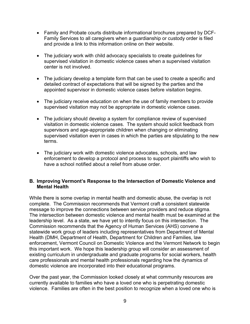- Family and Probate courts distribute informational brochures prepared by DCF-Family Services to all caregivers when a guardianship or custody order is filed and provide a link to this information online on their website.
- The judiciary work with child advocacy specialists to create guidelines for supervised visitation in domestic violence cases when a supervised visitation center is not involved.
- The judiciary develop a template form that can be used to create a specific and detailed contract of expectations that will be signed by the parties and the appointed supervisor in domestic violence cases before visitation begins.
- The judiciary receive education on when the use of family members to provide supervised visitation may not be appropriate in domestic violence cases.
- The judiciary should develop a system for compliance review of supervised visitation in domestic violence cases. The system should solicit feedback from supervisors and age-appropriate children when changing or eliminating supervised visitation even in cases in which the parties are stipulating to the new terms.
- The judiciary work with domestic violence advocates, schools, and law enforcement to develop a protocol and process to support plaintiffs who wish to have a school notified about a relief from abuse order.

#### **B. Improving Vermont's Response to the Intersection of Domestic Violence and Mental Health**

While there is some overlap in mental health and domestic abuse, the overlap is not complete. The Commission recommends that Vermont craft a consistent statewide message to improve the connections between service providers and reduce stigma. The intersection between domestic violence and mental health must be examined at the leadership level. As a state, we have yet to intently focus on this intersection. The Commission recommends that the Agency of Human Services (AHS) convene a statewide work group of leaders including representatives from Department of Mental Health (DMH, Department of Health, Department for Children and Families, law enforcement, Vermont Council on Domestic Violence and the Vermont Network to begin this important work. We hope this leadership group will consider an assessment of existing curriculum in undergraduate and graduate programs for social workers, health care professionals and mental health professionals regarding how the dynamics of domestic violence are incorporated into their educational programs.

Over the past year, the Commission looked closely at what community resources are currently available to families who have a loved one who is perpetrating domestic violence. Families are often in the best position to recognize when a loved one who is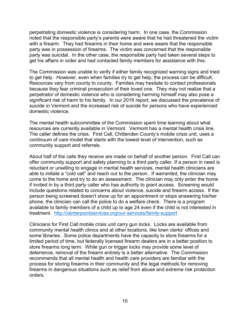perpetrating domestic violence is considering harm. In one case, the Commission noted that the responsible party's parents were aware that he had threatened the victim with a firearm. They had firearms in their home and were aware that the responsible party was in possession of firearms. The victim was concerned that the responsible party was suicidal. In the other case, the responsible party had taken several steps to get his affairs in order and had contacted family members for assistance with this.

The Commission was unable to verify if either family recognized warning signs and tried to get help. However, even when families try to get help, the process can be difficult. Resources vary from county to county. Families may hesitate to contact professionals because they fear criminal prosecution of their loved one. They may not realize that a perpetrator of domestic violence who is considering harming himself may also pose a significant risk of harm to his family. In our 2016 report, we discussed the prevalence of suicide in Vermont and the increased risk of suicide for persons who have experienced domestic violence.

The mental health subcommittee of the Commission spent time learning about what resources are currently available in Vermont. Vermont has a mental health crisis line. The caller defines the crisis. First Call, Chittenden County's mobile crisis unit, uses a continuum of care model that starts with the lowest level of intervention, such as community support and referrals.

About half of the calls they receive are made on behalf of another person. First Call can offer community support and safety planning to a third party caller. If a person in need is reluctant or unwilling to engage in mental health services, mental health clinicians are able to initiate a "cold call" and reach out to the person. If warranted, the clinician may come to the home and try to do an assessment. The clinician may only enter the home if invited in by a third party caller who has authority to grant access. Screening would include questions related to concerns about violence, suicide and firearm access. If the person being screened doesn't show up for an appointment or stops answering his/her phone, the clinician can call the police to do a welfare check. There is a program available to family members of a child up to age 24 even if the child is not interested in treatment. <http://centerpointservices.org/our-services/family-support>

Clinicians for First Call mobile crisis unit carry gun locks. Locks are available from community mental health clinics and at other locations, like town clerks' offices and some libraries. Some police departments have the capacity to store firearms for a limited period of time, but federally licensed firearm dealers are in a better position to store firearms long term. While gun or trigger locks may provide some level of deterrence, removal of the firearm entirely is a better alternative. The Commission recommends that all mental health and health care providers are familiar with the process for storing firearms in their community and the legal methods for removing firearms in dangerous situations such as relief from abuse and extreme risk protection orders.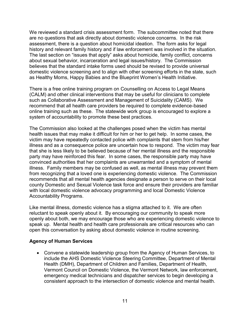We reviewed a standard crisis assessment form. The subcommittee noted that there are no questions that ask directly about domestic violence concerns. In the risk assessment, there is a question about homicidal ideation. The form asks for legal history and relevant family history and if law enforcement was involved in the situation. The last section on "issues that apply" asks about homicide, family conflict, concerns about sexual behavior, incarceration and legal issues/history. The Commission believes that the standard intake forms used should be revised to provide universal domestic violence screening and to align with other screening efforts in the state, such as Healthy Moms, Happy Babies and the Blueprint Women's Health Initiative.

There is a free online training program on Counselling on Access to Legal Means (CALM) and other clinical interventions that may be useful for clinicians to complete such as Collaborative Assessment and Management of Suicidality (CAMS). We recommend that all health care providers be required to complete evidence-based online training such as these. The statewide work group is encouraged to explore a system of accountability to promote these best practices.

The Commission also looked at the challenges posed when the victim has mental health issues that may make it difficult for him or her to get help. In some cases, the victim may have repeatedly contacted police with complaints that stem from his/her illness and as a consequence police are uncertain how to respond. The victim may fear that she is less likely to be believed because of her mental illness and the responsible party may have reinforced this fear. In some cases, the responsible party may have convinced authorities that her complaints are unwarranted and a symptom of mental illness. Family members may be confused as well, as mental illness may prevent them from recognizing that a loved one is experiencing domestic violence. The Commission recommends that all mental health agencies designate a person to serve on their local county Domestic and Sexual Violence task force and ensure their providers are familiar with local domestic violence advocacy programming and local Domestic Violence Accountability Programs.

Like mental illness, domestic violence has a stigma attached to it. We are often reluctant to speak openly about it. By encouraging our community to speak more openly about both, we may encourage those who are experiencing domestic violence to speak up. Mental health and health care professionals are critical resources who can open this conversation by asking about domestic violence in routine screening.

#### **Agency of Human Services**

• Convene a statewide leadership group from the Agency of Human Services, to include the AHS Domestic Violence Steering Committee, Department of Mental Health (DMH), Department of Children and Families, Department of Health, Vermont Council on Domestic Violence, the Vermont Network, law enforcement, emergency medical technicians and dispatcher services to begin developing a consistent approach to the intersection of domestic violence and mental health.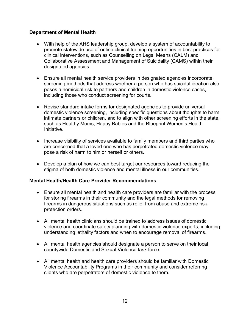# **Department of Mental Health**

- With help of the AHS leadership group, develop a system of accountability to promote statewide use of online clinical training opportunities in best practices for clinical interventions, such as Counselling on Legal Means (CALM) and Collaborative Assessment and Management of Suicidality (CAMS) within their designated agencies.
- Ensure all mental health service providers in designated agencies incorporate screening methods that address whether a person who has suicidal ideation also poses a homicidal risk to partners and children in domestic violence cases, including those who conduct screening for courts.
- Revise standard intake forms for designated agencies to provide universal domestic violence screening, including specific questions about thoughts to harm intimate partners or children, and to align with other screening efforts in the state, such as Healthy Moms, Happy Babies and the Blueprint Women's Health Initiative.
- Increase visibility of services available to family members and third parties who are concerned that a loved one who has perpetrated domestic violence may pose a risk of harm to him or herself or others.
- Develop a plan of how we can best target our resources toward reducing the stigma of both domestic violence and mental illness in our communities.

#### **Mental Health/Health Care Provider Recommendations**

- Ensure all mental health and health care providers are familiar with the process for storing firearms in their community and the legal methods for removing firearms in dangerous situations such as relief from abuse and extreme risk protection orders.
- All mental health clinicians should be trained to address issues of domestic violence and coordinate safety planning with domestic violence experts, including understanding lethality factors and when to encourage removal of firearms.
- All mental health agencies should designate a person to serve on their local countywide Domestic and Sexual Violence task force.
- All mental health and health care providers should be familiar with Domestic Violence Accountability Programs in their community and consider referring clients who are perpetrators of domestic violence to them.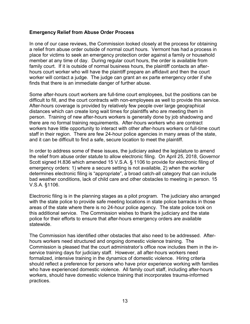#### **Emergency Relief from Abuse Order Process**

In one of our case reviews, the Commission looked closely at the process for obtaining a relief from abuse order outside of normal court hours. Vermont has had a process in place for victims to seek an emergency protection order against a family or household member at any time of day. During regular court hours, the order is available from family court. If it is outside of normal business hours, the plaintiff contacts an afterhours court worker who will have the plaintiff prepare an affidavit and then the court worker will contact a judge. The judge can grant an ex parte emergency order if she finds that there is an immediate danger of further abuse.

Some after-hours court workers are full-time court employees, but the positions can be difficult to fill, and the court contracts with non-employees as well to provide this service. After-hours coverage is provided by relatively few people over large geographical distances which can create long wait times for plaintiffs who are meeting them in person. Training of new after-hours workers is generally done by job shadowing and there are no formal training requirements. After-hours workers who are contract workers have little opportunity to interact with other after-hours workers or full-time court staff in their region. There are few 24-hour police agencies in many areas of the state, and it can be difficult to find a safe, secure location to meet the plaintiff.

In order to address some of these issues, the judiciary asked the legislature to amend the relief from abuse order statute to allow electronic filing. On April 25, 2018, Governor Scott signed H.836 which amended 15 V.S.A. § 1106 to provide for electronic filing of emergency orders: 1) where a secure setting is not available, 2) when the worker determines electronic filing is "appropriate", a broad catch-all category that can include bad weather conditions, lack of child care and other obstacles to meeting in person. 15 V.S.A. §1106.

Electronic filing is in the planning stages as a pilot program. The judiciary also arranged with the state police to provide safe meeting locations in state police barracks in those areas of the state where there is no 24-hour police agency. The state police took on this additional service. The Commission wishes to thank the judiciary and the state police for their efforts to ensure that after-hours emergency orders are available statewide.

The Commission has identified other obstacles that also need to be addressed. Afterhours workers need structured and ongoing domestic violence training. The Commission is pleased that the court administrator's office now includes them in the inservice training days for judiciary staff. However, all after-hours workers need formalized, intensive training in the dynamics of domestic violence. Hiring criteria should reflect a preference for persons who have prior experience working with families who have experienced domestic violence. All family court staff, including after-hours workers, should have domestic violence training that incorporates trauma-informed practices.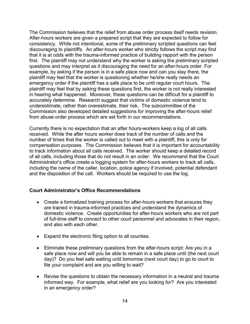The Commission believes that the relief from abuse order process itself needs revision. After-hours workers are given a prepared script that they are expected to follow for consistency. While not intentional, some of the preliminary scripted questions can feel discouraging to plaintiffs. An after-hours worker who strictly follows the script may find that it is at odds with the trauma-informed practice of building rapport with the person first. The plaintiff may not understand why the worker is asking the preliminary scripted questions and may interpret as it discouraging the need for an after-hours order. For example, by asking if the person is in a safe place now and can you stay there, the plaintiff may feel that the worker is questioning whether he/she really needs an emergency order if the plaintiff has a safe place to be until regular court hours. The plaintiff may feel that by asking these questions first, the worker is not really interested in hearing what happened. Moreover, these questions can be difficult for a plaintiff to accurately determine. Research suggest that victims of domestic violence tend to underestimate, rather than overestimate, their risk. The subcommittee of the Commission also developed detailed suggestions for improving the after-hours relief from abuse order process which are set forth in our recommendations.

Currently there is no expectation that an after hours-workers keep a log of all calls received. While the after hours worker does track of the number of calls and the number of times that the worker is called out to meet with a plaintiff, this is only for compensation purposes. The Commission believes that it is important for accountability to track information about all calls received. The worker should keep a detailed record of all calls, including those that do not result in an order. We recommend that the Court Administrator's office create a logging system for after-hours workers to track all calls, including the name of the caller, location, police agency if involved, potential defendant and the disposition of the call. Workers should be required to use the log.

#### **Court Administrator's Office Recommendations**

- Create a formalized training process for after-hours workers that ensures they are trained in trauma-informed practices and understand the dynamics of domestic violence. Create opportunities for after-hours workers who are not part of full-time staff to connect to other court personnel and advocates in their region, and also with each other.
- Expand the electronic filing option to all counties.
- Eliminate these preliminary questions from the after-hours script: Are you in a safe place now and will you be able to remain in a safe place until (the next court day)? Do you feel safe waiting until tomorrow (next court day) to go to court to file your complaint and are you willing to wait?
- Revise the questions to obtain the necessary information in a neutral and trauma informed way. For example, what relief are you looking for? Are you interested in an emergency order?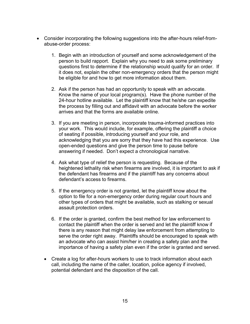- Consider incorporating the following suggestions into the after-hours relief-fromabuse-order process:
	- 1. Begin with an introduction of yourself and some acknowledgement of the person to build rapport. Explain why you need to ask some preliminary questions first to determine if the relationship would qualify for an order. If it does not, explain the other non-emergency orders that the person might be eligible for and how to get more information about them.
	- 2. Ask if the person has had an opportunity to speak with an advocate. Know the name of your local program(s). Have the phone number of the 24-hour hotline available. Let the plaintiff know that he/she can expedite the process by filling out and affidavit with an advocate before the worker arrives and that the forms are available online.
	- 3. If you are meeting in person, incorporate trauma-informed practices into your work. This would include, for example, offering the plaintiff a choice of seating if possible, introducing yourself and your role, and acknowledging that you are sorry that they have had this experience. Use open-ended questions and give the person time to pause before answering if needed. Don't expect a chronological narrative.
	- 4. Ask what type of relief the person is requesting. Because of the heightened lethality risk when firearms are involved, it is important to ask if the defendant has firearms and if the plaintiff has any concerns about defendant's access to firearms.
	- 5. If the emergency order is not granted, let the plaintiff know about the option to file for a non-emergency order during regular court hours and other types of orders that might be available, such as stalking or sexual assault protection orders.
	- 6. If the order is granted, confirm the best method for law enforcement to contact the plaintiff when the order is served and let the plaintiff know if there is any reason that might delay law enforcement from attempting to serve the order right away. Plaintiffs should be encouraged to speak with an advocate who can assist him/her in creating a safety plan and the importance of having a safety plan even if the order is granted and served.
	- Create a log for after-hours workers to use to track information about each call, including the name of the caller, location, police agency if involved, potential defendant and the disposition of the call.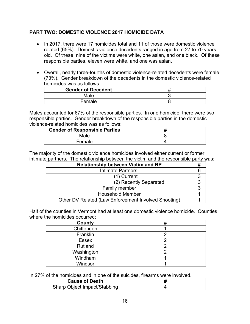# **PART TWO: DOMESTIC VIOLENCE 2017 HOMICIDE DATA**

- In 2017, there were 17 homicides total and 11 of those were domestic violence related (65%). Domestic violence decedents ranged in age from 27 to 70 years old. Of these, nine of the victims were white, one asian, and one black. Of these responsible parties, eleven were white, and one was asian.
- Overall, nearly three-fourths of domestic violence-related decedents were female (73%). Gender breakdown of the decedents in the domestic violence-related homicides was as follows:

| <b>Gender of Decedent</b> |  |
|---------------------------|--|
| Male                      |  |
| Female                    |  |

Males accounted for 67% of the responsible parties. In one homicide, there were two responsible parties. Gender breakdown of the responsible parties in the domestic violence-related homicides was as follows:

| <b>Gender of Responsible Parties</b> |  |
|--------------------------------------|--|
| Male                                 |  |
| Female                               |  |

The majority of the domestic violence homicides involved either current or former intimate partners. The relationship between the victim and the responsible party was:

Half of the counties in Vermont had at least one domestic violence homicide. Counties where the homicides occurred:

| County       |  |
|--------------|--|
| Chittenden   |  |
| Franklin     |  |
| <b>Essex</b> |  |
| Rutland      |  |
| Washington   |  |
| Windham      |  |
| Windsor      |  |

In 27% of the homicides and in one of the suicides, firearms were involved.

| <b>Cause of Death</b>        |  |
|------------------------------|--|
| Sharp Object Impact/Stabbing |  |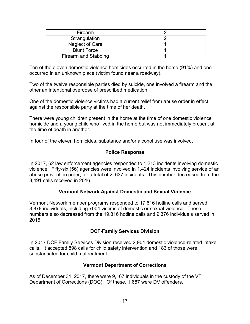| <b>Firearm</b>         |  |
|------------------------|--|
| Strangulation          |  |
| <b>Neglect of Care</b> |  |
| <b>Blunt Force</b>     |  |
| Firearm and Stabbing   |  |

Ten of the eleven domestic violence homicides occurred in the home (91%) and one occurred in an unknown place (victim found near a roadway).

Two of the twelve responsible parties died by suicide, one involved a firearm and the other an intentional overdose of prescribed medication.

One of the domestic violence victims had a current relief from abuse order in effect against the responsible party at the time of her death.

There were young children present in the home at the time of one domestic violence homicide and a young child who lived in the home but was not immediately present at the time of death in another.

In four of the eleven homicides, substance and/or alcohol use was involved.

#### **Police Response**

In 2017, 62 law enforcement agencies responded to 1,213 incidents involving domestic violence. Fifty-six (56) agencies were involved in 1,424 incidents involving service of an abuse prevention order, for a total of 2. 637 incidents. This number decreased from the 3,491 calls received in 2016.

#### **Vermont Network Against Domestic and Sexual Violence**

Vermont Network member programs responded to 17,616 hotline calls and served 8,878 individuals, including 7004 victims of domestic or sexual violence. These numbers also decreased from the 19,816 hotline calls and 9.376 individuals served in 2016.

# **DCF-Family Services Division**

In 2017 DCF Family Services Division received 2,904 domestic violence-related intake calls. It accepted 898 calls for child safety intervention and 183 of those were substantiated for child maltreatment.

#### **Vermont Department of Corrections**

As of December 31, 2017, there were 9,167 individuals in the custody of the VT Department of Corrections (DOC). Of these, 1,687 were DV offenders.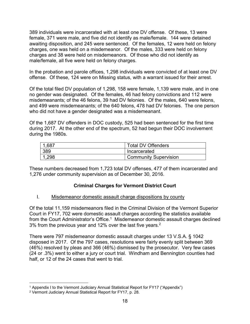389 individuals were incarcerated with at least one DV offense. Of these, 13 were female, 371 were male, and five did not identify as male/female. 144 were detained awaiting disposition, and 245 were sentenced. Of the females, 12 were held on felony charges, one was held on a misdemeanor. Of the males, 333 were held on felony charges and 38 were held on misdemeanors. Of those who did not identify as male/female, all five were held on felony charges.

In the probation and parole offices, 1,298 individuals were convicted of at least one DV offense. Of these, 124 were on Missing status, with a warrant issued for their arrest.

Of the total filed DV population of 1,298, 158 were female, 1,139 were male, and in one no gender was designated. Of the females, 46 had felony convictions and 112 were misdemeanants; of the 46 felons, 39 had DV felonies. Of the males, 640 were felons, and 499 were misdemeanants; of the 640 felons, 478 had DV felonies. The one person who did not have a gender designated was a misdemeanant.

Of the 1,687 DV offenders in DOC custody, 525 had been sentenced for the first time during 2017. At the other end of the spectrum, 52 had begun their DOC involvement during the 1980s.

| .687 | <b>Total DV Offenders</b>    |
|------|------------------------------|
| 389  | Incarcerated                 |
| .298 | <b>Community Supervision</b> |

These numbers decreased from 1,723 total DV offenses, 477 of them incarcerated and 1,276 under community supervision as of December 30, 2016.

# **Criminal Charges for Vermont District Court**

# I. Misdemeanor domestic assault charge dispositions by county

Of the total 11,159 misdemeanors filed in the Criminal Division of the Vermont Superior Court in FY17, 702 were domestic assault charges according the statistics available from the Court Administrator's Office.<sup>1</sup> Misdemeanor domestic assault charges declined 3% from the previous year and 12% over the last five years.<sup>2</sup>

There were 797 misdemeanor domestic assault charges under 13 V.S.A. § 1042 disposed in 2017. Of the 797 cases, resolutions were fairly evenly split between 369 (46%) resolved by pleas and 366 (46%) dismissed by the prosecutor. Very few cases (24 or .3%) went to either a jury or court trial. Windham and Bennington counties had half, or 12 of the 24 cases that went to trial.

 $\overline{a}$ <sup>1</sup> Appendix I to the Vermont Judiciary Annual Statistical Report for FY17 ("Appendix")

<sup>2</sup> Vermont Judiciary Annual Statistical Report for FY17, p. 28.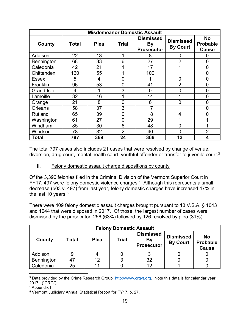| <b>Misdemeanor Domestic Assault</b> |              |             |                |                                                    |                                     |                                              |  |
|-------------------------------------|--------------|-------------|----------------|----------------------------------------------------|-------------------------------------|----------------------------------------------|--|
| County                              | <b>Total</b> | <b>Plea</b> | <b>Trial</b>   | <b>Dismissed</b><br><b>By</b><br><b>Prosecutor</b> | <b>Dismissed</b><br><b>By Court</b> | <b>No</b><br><b>Probable</b><br><b>Cause</b> |  |
| Addison                             | 22           | 13          | 1              | 8                                                  | 0                                   | O                                            |  |
| Bennington                          | 68           | 33          | 6              | 27                                                 | $\overline{2}$                      | 0                                            |  |
| Caledonia                           | 42           | 21          | 1              | 17                                                 |                                     | 0                                            |  |
| Chittenden                          | 160          | 55          | 1              | 100                                                |                                     | 0                                            |  |
| <b>Essex</b>                        | 5            | 4           | $\overline{0}$ |                                                    | 0                                   | 0                                            |  |
| Franklin                            | 96           | 53          | $\overline{0}$ | 41                                                 | $\overline{2}$                      | 0                                            |  |
| <b>Grand Isle</b>                   | 4            |             | 3              | 0                                                  | 0                                   | $\mathbf 0$                                  |  |
| Lamoille                            | 32           | 16          | 1              | 14                                                 |                                     | 0                                            |  |
| Orange                              | 21           | 8           | $\overline{0}$ | 6                                                  | 0                                   | $\overline{0}$                               |  |
| <b>Orleans</b>                      | 58           | 37          | 3              | 17                                                 |                                     | 0                                            |  |
| Rutland                             | 65           | 39          | $\overline{0}$ | 18                                                 | 4                                   | 0                                            |  |
| Washington                          | 61           | 27          | 0              | 29                                                 |                                     |                                              |  |
| Windham                             | 85           | 30          | 6              | 48                                                 | 0                                   |                                              |  |
| Windsor                             | 78           | 32          | $\overline{2}$ | 40                                                 | 0                                   | $\overline{2}$                               |  |
| Total                               | 797          | 369         | 24             | 366                                                | 13                                  | 4                                            |  |

The total 797 cases also includes 21 cases that were resolved by change of venue, diversion, drug court, mental health court, youthful offender or transfer to juvenile court.<sup>3</sup>

II. Felony domestic assault charge dispositions by county

Of the 3,396 felonies filed in the Criminal Division of the Vermont Superior Court in FY17, 497 were felony domestic violence charges.<sup>4</sup> Although this represents a small decrease (503 v. 497) from last year, felony domestic charges have increased 47% in the last 10 years. $5$ 

There were 409 felony domestic assault charges brought pursuant to 13 V.S.A. § 1043 and 1044 that were disposed in 2017. Of those, the largest number of cases were dismissed by the prosecutor, 256 (63%) followed by 126 resolved by plea (31%).

| <b>Felony Domestic Assault</b> |       |             |              |                                                    |                                     |                                              |  |
|--------------------------------|-------|-------------|--------------|----------------------------------------------------|-------------------------------------|----------------------------------------------|--|
| County                         | Total | <b>Plea</b> | <b>Trial</b> | <b>Dismissed</b><br><b>By</b><br><b>Prosecutor</b> | <b>Dismissed</b><br><b>By Court</b> | <b>No</b><br><b>Probable</b><br><b>Cause</b> |  |
| Addison                        |       |             |              |                                                    |                                     |                                              |  |
| Bennington                     |       | 12          |              | 32                                                 |                                     |                                              |  |
| Caledonia                      | 25    |             |              |                                                    |                                     |                                              |  |

 $\overline{a}$ <sup>3</sup> Data provided by the Crime Research Group, [http://www.crgvt.org.](http://www.crgvt.org/) Note this data is for calendar year 2017. ("CRG")

<sup>4</sup> Appendix I

<sup>5</sup> Vermont Judiciary Annual Statistical Report for FY17, p. 27.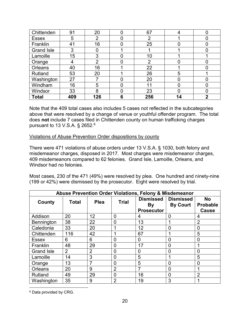| Chittenden        | 91  | 20             | 0 | 67             |    |  |
|-------------------|-----|----------------|---|----------------|----|--|
| <b>Essex</b>      | 5   | $\overline{2}$ |   | ⌒              |    |  |
| Franklin          | 41  | 16             | 0 | 25             | 0  |  |
| <b>Grand Isle</b> | 3   | 0              |   |                |    |  |
| Lamoille          | 15  | 3              |   | 10             |    |  |
| Orange            |     | $\overline{2}$ |   | $\overline{2}$ |    |  |
| Orleans           | 40  | 16             |   | 22             |    |  |
| Rutland           | 53  | 20             |   | 26             | 5  |  |
| Washington        | 27  |                |   | 20             |    |  |
| Windham           | 16  | 5              | 0 | 11             | 0  |  |
| Windsor           | 33  | 8              | 0 | 23             | 0  |  |
| <b>Total</b>      | 409 | 126            | 6 | 256            | 14 |  |

Note that the 409 total cases also includes 5 cases not reflected in the subcategories above that were resolved by a change of venue or youthful offender program. The total does **not** include 7 cases filed in Chittenden county on human trafficking charges pursuant to 13 V.S.A. § 2652.<sup>6</sup>

#### Violations of Abuse Prevention Order dispositions by county

There were 471 violations of abuse orders under 13 V.S.A. § 1030, both felony and misdemeanor charges, disposed in 2017. Most charges were misdemeanor charges, 409 misdemeanors compared to 62 felonies. Grand Isle, Lamoille, Orleans, and Windsor had no felonies.

Most cases, 230 of the 471 (49%) were resolved by plea. One hundred and ninety-nine (199 or 42%) were dismissed by the prosecutor. Eight were resolved by trial.

| Abuse Prevention Order Violations, Felony & Misdemeanor |              |                |                |                               |                                     |                              |
|---------------------------------------------------------|--------------|----------------|----------------|-------------------------------|-------------------------------------|------------------------------|
| County                                                  | <b>Total</b> | <b>Plea</b>    | <b>Trial</b>   | <b>Dismissed</b><br><b>By</b> | <b>Dismissed</b><br><b>By Court</b> | <b>No</b><br><b>Probable</b> |
|                                                         |              |                |                | <b>Prosecutor</b>             |                                     | <b>Cause</b>                 |
| Addison                                                 | 20           | 12             | 0              | 4                             | 0                                   | 4                            |
| Bennington                                              | 38           | 22             | 0              | 13                            |                                     | $\overline{2}$               |
| Caledonia                                               | 33           | 20             |                | 12                            | $\Omega$                            | 0                            |
| Chittenden                                              | 116          | 42             |                | 67                            |                                     | 5                            |
| <b>Essex</b>                                            | 6            | 6              | 0              | 0                             | $\Omega$                            | 0                            |
| Franklin                                                | 48           | 29             | 0              | 17                            | 0                                   |                              |
| <b>Grand Isle</b>                                       | 2            | $\overline{2}$ | 0              | 0                             | ∩                                   | 0                            |
| Lamoille                                                | 14           | 3              | 0              | 5                             |                                     | 5                            |
| Orange                                                  | 13           | 7              | 0              | 5                             | $\Omega$                            | 0                            |
| Orleans                                                 | 20           | 9              | $\overline{2}$ |                               | $\Omega$                            |                              |
| Rutland                                                 | 49           | 29             | 0              | 16                            | $\Omega$                            | $\overline{2}$               |
| Washington                                              | 35           | 9              | $\overline{2}$ | 19                            | 3                                   |                              |

 $\overline{a}$ <sup>6</sup> Data provided by CRG.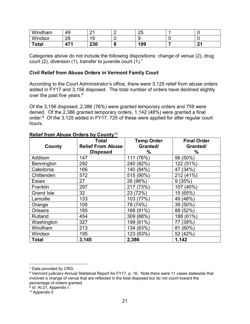| Windham      | 49       | ົ<br><u>_</u>                           |   | つに<br>∠J |               |
|--------------|----------|-----------------------------------------|---|----------|---------------|
| Windsor      | റാ<br>∠∪ | $\overline{A}$ $\overline{C}$<br>╰<br>ັ |   |          |               |
| <b>Total</b> | 17 A     | 230                                     | ю | 199      | $\sim$<br>. . |

Categories above do not include the following dispositions: change of venue (2), drug court (2), diversion (1), transfer to juvenile court (1).<sup>7</sup>

#### **Civil Relief from Abuse Orders in Vermont Family Court**

According to the Court Administrator's office, there were 3,125 relief from abuse orders added in FY17 and 3,156 disposed. The total number of orders have declined slightly over the past five years. $8$ 

Of the 3,156 disposed, 2,386 (76%) were granted temporary orders and 759 were denied. Of the 2,386 granted temporary orders, 1,142 (48%) were granted a final order.<sup>9</sup> Of the 3,125 added in FY17, 725 of these were applied for after regular court hours.

|                   | <b>Total</b>             | <b>Temp Order</b> | <b>Final Order</b> |  |
|-------------------|--------------------------|-------------------|--------------------|--|
| County            | <b>Relief From Abuse</b> | Granted/          | Granted/           |  |
|                   | <b>Disposed</b>          | $\%$              | ℅                  |  |
| Addison           | 147                      | (76%)<br>111      | 56 (50%)           |  |
| Bennington        | 292                      | 240 (82%)         | 122 (51%)          |  |
| Caledonia         | 166                      | 140 (84%)         | 47 (34%)           |  |
| Chittenden        | 572                      | 515 (90%)         | 212 (41%)          |  |
| Essex             | 27                       | 26 (96%)          | 9(35%)             |  |
| Franklin          | 297                      | 217 (73%)         | 107 (40%)          |  |
| <b>Grand Isle</b> | 32                       | 23 (72%)          | 15 (65%)           |  |
| Lamoille          | 133                      | 103 (77%)         | 49 (48%)           |  |
| Orange            | 105                      | 78 (74%)          | 39 (50%)           |  |
| Orleans           | 185                      | 168 (91%)         | 88 (52%)           |  |
| Rutland           | 454                      | 309 (68%)         | 188 (61%)          |  |
| Washington        | 327                      | 199 (61%)         | 77 (39%)           |  |
| Windham           | 213                      | 134 (63%)         | 81 (60%)           |  |
| Windsor           | 195                      | 123 (63%)         | 52 (42%)           |  |
| <b>Total</b>      | 3,145                    | 2,386             | 1,142              |  |

#### **Relief from Abuse Orders by County**<sup>10</sup>

 $\overline{a}$ 

<sup>7</sup> Data provided by CRG.

<sup>8</sup> Vermont judiciary Annual Statistical Report for FY17, p. 16. Note there were 11 cases statewide that involved a change of venue that are reflected in the total disposed but do not count toward the percentage of orders granted.

<sup>9</sup> *Id.* At 21, Appendix I.

<sup>&</sup>lt;sup>10</sup> Appendix II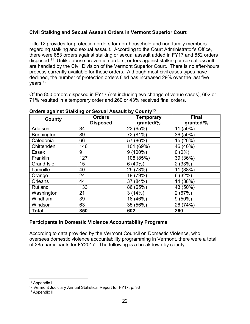# **Civil Stalking and Sexual Assault Orders in Vermont Superior Court**

Title 12 provides for protection orders for non-household and non-family members regarding stalking and sexual assault. According to the Court Administrator's Office, there were 883 orders against stalking or sexual assault added in FY17 and 852 orders disposed.<sup>11</sup> Unlike abuse prevention orders, orders against stalking or sexual assault are handled by the Civil Division of the Vermont Superior Court. There is no after-hours process currently available for these orders. Although most civil cases types have declined, the number of protection orders filed has increased 29% over the last five years.<sup>12</sup>

Of the 850 orders disposed in FY17 (not including two change of venue cases), 602 or 71% resulted in a temporary order and 260 or 43% received final orders.

| County            | <b>Orders</b><br><b>Disposed</b> | <b>Temporary</b><br>granted/% | <b>Final</b><br>granted/% |
|-------------------|----------------------------------|-------------------------------|---------------------------|
| Addison           | 34                               | 22 (65%)                      | 11 (50%)                  |
| Bennington        | 89                               | 72 (81%)                      | 36 (50%)                  |
| Caledonia         | 66                               | 57 (86%)                      | 15 (26%)                  |
| Chittenden        | 146                              | 101 (69%)                     | 46 (46%)                  |
| Essex             | 9                                | $9(100\%)$                    | $0(0\%)$                  |
| Franklin          | 127                              | 108 (85%)                     | 39 (36%)                  |
| <b>Grand Isle</b> | 15                               | 6(40%)                        | 2(33%)                    |
| Lamoille          | 40                               | 29 (73%)                      | 11 (38%)                  |
| Orange            | 24                               | 19 (79%)                      | 6(32%)                    |
| Orleans           | 44                               | 37 (84%)                      | 14 (38%)                  |
| Rutland           | 133                              | 86 (65%)                      | 43 (50%)                  |
| Washington        | 21                               | 3(14%)                        | 2(67%)                    |
| Windham           | 39                               | 18 (46%)                      | $9(50\%)$                 |
| Windsor           | 63                               | 35 (56%)                      | 26 (74%)                  |
| <b>Total</b>      | 850                              | 602                           | 260                       |

## **Orders against Stalking or Sexual Assault by County**<sup>13</sup>

# **Participants in Domestic Violence Accountability Programs**

According to data provided by the Vermont Council on Domestic Violence, who oversees domestic violence accountability programming in Vermont, there were a total of 385 participants for FY2017. The following is a breakdown by county:

 $\overline{a}$ <sup>11</sup> Appendix I

<sup>12</sup> Vermont Judiciary Annual Statistical Report for FY17, p. 33

<sup>&</sup>lt;sup>13</sup> Appendix II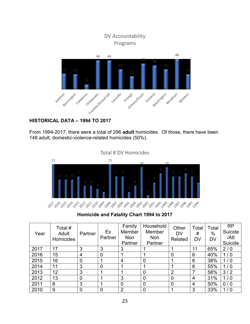

# **HISTORICAL DATA – 1994 TO 2017**

From 1994-2017, there were a total of 296 **adult** homicides. Of those, there have been 148 adult, domestic-violence-related homicides (50%).

Total # DV Homicides11 11  $1<sub>0</sub>$ 10 ్రు, ర్క్రిం<sub>స్</sub>ర్క్ర్స్ ర్క్ర్స్ ర్క్రింస్ ర్క్ర్ ర్క్రీంస్ ర్క్రీంస్ ర్క్ర్ ర్క్రీంస్ ర్క్రీంస్ ర్క్రీంస్ ర్క్

**Homicide and Fatality Chart 1994 to 2017**

| Year | Total #<br>Adult<br>Homicides | Partner | Ex<br>Partner | Family<br><b>Member</b><br><b>Non</b><br>Partner | Household<br>Member<br><b>Non</b><br>Partner | Other<br><b>DV</b><br>Related | Total<br>#<br><b>DV</b> | Total<br>%<br>DV | <b>RP</b><br>Suicide<br>/Att<br>Suicide |
|------|-------------------------------|---------|---------------|--------------------------------------------------|----------------------------------------------|-------------------------------|-------------------------|------------------|-----------------------------------------|
| 2017 | 17                            | 3       | 3             | 3                                                |                                              |                               | 11                      | 65%              | 2/0                                     |
| 2016 | 15                            | 4       | 0             |                                                  |                                              | 0                             | 6                       | 40%              | 1/0                                     |
| 2015 | 16                            | 0       |               | 4                                                | 0                                            |                               | 6                       | 38%              | 1/0                                     |
| 2014 | 11                            | 3       | 0             |                                                  |                                              |                               | 6                       | 55%              | 1/0                                     |
| 2013 | 12                            | 3       |               |                                                  | $\overline{0}$                               | $\overline{2}$                |                         | 58%              | 3/2                                     |
| 2012 | 13                            | 0       |               | 3                                                | $\overline{0}$                               | 0                             | 4                       | 31%              | 1/0                                     |
| 2011 | 8                             | 3       |               | $\overline{0}$                                   | $\overline{0}$                               | 0                             | 4                       | 50%              | 0/0                                     |
| 2010 | 9                             | 0       |               | 2                                                | $\overline{0}$                               |                               | 3                       | 33%              | 1/0                                     |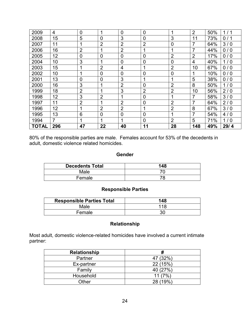| 2009         | 4              | $\mathbf 0$    | 1              | $\overline{0}$ | $\overline{0}$ | 1              | 2               | 50% | 1/1  |
|--------------|----------------|----------------|----------------|----------------|----------------|----------------|-----------------|-----|------|
| 2008         | 15             | 5              | $\overline{0}$ | 3              | $\overline{0}$ | 3              | 11              | 73% | 0/1  |
| 2007         | 11             | 1              | $\overline{2}$ | $\overline{2}$ | $\overline{2}$ | $\mathbf 0$    | $\overline{7}$  | 64% | 3/0  |
| 2006         | 16             | $\overline{2}$ | 1              | $\overline{2}$ | 1              | 1              | 7               | 44% | 0/0  |
| 2005         | 12             | $\overline{0}$ | $\overline{0}$ | $\overline{0}$ | $\overline{0}$ | $\overline{2}$ | 2               | 17% | 0/0  |
| 2004         | 10             | 3              | 1              | $\overline{0}$ | 0              | $\mathbf 0$    | $\overline{4}$  | 40% | 1/0  |
| 2003         | 15             | 1              | $\overline{2}$ | 4              | 1              | $\overline{2}$ | 10              | 67% | 0/0  |
| 2002         | 10             | 1              | $\mathbf 0$    | $\overline{0}$ | 0              | $\mathbf 0$    |                 | 10% | 0/0  |
| 2001         | 13             | $\overline{0}$ | $\overline{0}$ | 3              | 1              | $\overline{1}$ | $5\phantom{.0}$ | 38% | 0/0  |
| 2000         | 16             | 3              | 1              | $\overline{2}$ | 0              | $\overline{2}$ | 8               | 50% | 1/0  |
| 1999         | 18             | $\overline{2}$ | 1              | 3              | $\overline{2}$ | $\overline{2}$ | 10              | 56% | 2/0  |
| 1998         | 12             | 3              | $\overline{2}$ | 1              | 0              | 1              | 7               | 58% | 3/0  |
| 1997         | 11             | $\overline{2}$ | 1              | $\overline{2}$ | 0              | $\overline{2}$ | 7               | 64% | 2/0  |
| 1996         | 12             | 1              | $\overline{2}$ | $\overline{2}$ | 1              | $\overline{2}$ | 8               | 67% | 3/0  |
| 1995         | 13             | 6              | $\mathbf 0$    | $\mathbf 0$    | $\overline{0}$ | 1              | 7               | 54% | 4/0  |
| 1994         | $\overline{7}$ | 1              | 1              | 1              | $\overline{0}$ | $\overline{2}$ | 5               | 71% | 1/0  |
| <b>TOTAL</b> | 296            | 47             | 22             | 40             | 11             | 28             | 148             | 49% | 29/4 |

80% of the responsible parties are male. Females account for 53% of the decedents in adult, domestic violence related homicides.

#### **Gender**

| <b>Decedents Total</b> | 148 |
|------------------------|-----|
| Male                   |     |
| Female                 |     |

#### **Responsible Parties**

| <b>Responsible Parties Total</b> | 148 |
|----------------------------------|-----|
| Male                             | 118 |
| Female                           | 30  |

# **Relationship**

Most adult, domestic violence-related homicides have involved a current intimate partner:

| <b>Relationship</b> | #        |
|---------------------|----------|
| Partner             | 47 (32%) |
| Ex-partner          | 22 (15%) |
| Family              | 40 (27%) |
| Household           | 11(7%)   |
| Other               | 28 (19%) |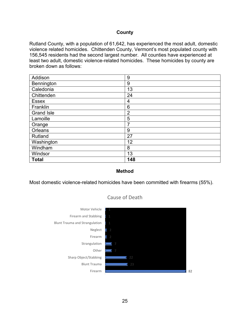#### **County**

Rutland County, with a population of 61,642, has experienced the most adult, domestic violence related homicides. Chittenden County, Vermont's most populated county with 156,545 residents had the second largest number. All counties have experienced at least two adult, domestic violence-related homicides. These homicides by county are broken down as follows:

| Addison           | 9              |
|-------------------|----------------|
| Bennington        | 9              |
| Caledonia         | 13             |
| Chittenden        | 24             |
| <b>Essex</b>      | 4              |
| Franklin          | 6              |
| <b>Grand Isle</b> | $\overline{2}$ |
| Lamoille          | 5              |
| Orange            | 7              |
| Orleans           | 9              |
| Rutland           | 27             |
| Washington        | 12             |
| Windham           | 8              |
| Windsor           | 13             |
| <b>Total</b>      | 148            |

#### **Method**

Most domestic violence-related homicides have been committed with firearms (55%).



# Cause of Death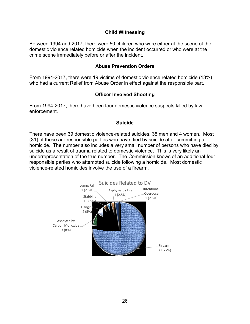#### **Child Witnessing**

Between 1994 and 2017, there were 50 children who were either at the scene of the domestic violence related homicide when the incident occurred or who were at the crime scene immediately before or after the incident.

#### **Abuse Prevention Orders**

From 1994-2017, there were 19 victims of domestic violence related homicide (13%) who had a current Relief from Abuse Order in effect against the responsible part.

#### **Officer Involved Shooting**

From 1994-2017, there have been four domestic violence suspects killed by law enforcement.

#### **Suicide**

There have been 39 domestic violence-related suicides, 35 men and 4 women. Most (31) of these are responsible parties who have died by suicide after committing a homicide. The number also includes a very small number of persons who have died by suicide as a result of trauma related to domestic violence. This is very likely an underrepresentation of the true number. The Commission knows of an additional four responsible parties who attempted suicide following a homicide. Most domestic violence-related homicides involve the use of a firearm.

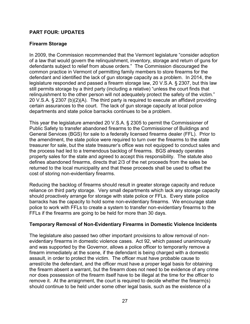## **PART FOUR: UPDATES**

#### **Firearm Storage**

In 2009, the Commission recommended that the Vermont legislature "consider adoption of a law that would govern the relinquishment, inventory, storage and return of guns for defendants subject to relief from abuse orders." The Commission discouraged the common practice in Vermont of permitting family members to store firearms for the defendant and identified the lack of gun storage capacity as a problem. In 2014, the legislature responded and passed a firearm storage law, 20 V.S.A. § 2307, but this law still permits storage by a third party (including a relative) "unless the court finds that relinquishment to the other person will not adequately protect the safety of the victim." 20 V.S.A. § 2307 (b)(2)(A). The third party is required to execute an affidavit providing certain assurances to the court. The lack of gun storage capacity at local police departments and state police barracks continues to be a problem.

This year the legislature amended 20 V.S.A. § 2305 to permit the Commissioner of Public Safety to transfer abandoned firearms to the Commissioner of Buildings and General Services (BGS) for sale to a federally licensed firearms dealer (FFL). Prior to the amendment, the state police were required to turn over the firearms to the state treasurer for sale, but the state treasurer's office was not equipped to conduct sales and the process had led to a tremendous backlog of firearms. BGS already operates property sales for the state and agreed to accept this responsibility. The statute also defines abandoned firearms, directs that 2/3 of the net proceeds from the sales be returned to the local municipality and that these proceeds shall be used to offset the cost of storing non-evidentiary firearms.

Reducing the backlog of firearms should result in greater storage capacity and reduce reliance on third party storage. Very small departments which lack any storage capacity should proactively arrange for storage with state police or FFLs. Every state police barracks has the capacity to hold some non-evidentiary firearms. We encourage state police to work with FFLs to create a system to transfer non-evidentiary firearms to the FFLs if the firearms are going to be held for more than 30 days.

#### **Temporary Removal of Non-Evidentiary Firearms in Domestic Violence Incidents**

The legislature also passed two other important provisions to allow removal of nonevidentiary firearms in domestic violence cases. Act 92, which passed unanimously and was supported by the Governor, allows a police officer to temporarily remove a firearm immediately at the scene, if the defendant is being charged with a domestic assault, in order to protect the victim. The officer must have probable cause to arrest/cite the defendant, and the officer must have a proper legal basis for obtaining the firearm absent a warrant, but the firearm does not need to be evidence of any crime nor does possession of the firearm itself have to be illegal at the time for the officer to remove it. At the arraignment, the court is required to decide whether the firearm(s) should continue to be held under some other legal basis, such as the existence of a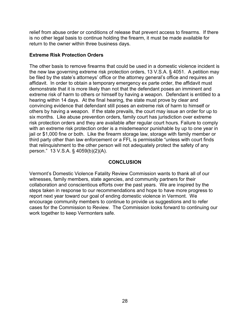relief from abuse order or conditions of release that prevent access to firearms. If there is no other legal basis to continue holding the firearm, it must be made available for return to the owner within three business days.

# **Extreme Risk Protection Orders**

The other basis to remove firearms that could be used in a domestic violence incident is the new law governing extreme risk protection orders, 13 V.S.A. § 4051. A petition may be filed by the state's attorneys' office or the attorney general's office and requires an affidavit. In order to obtain a temporary emergency ex parte order, the affidavit must demonstrate that it is more likely than not that the defendant poses an imminent and extreme risk of harm to others or himself by having a weapon. Defendant is entitled to a hearing within 14 days. At the final hearing, the state must prove by clear and convincing evidence that defendant still poses an extreme risk of harm to himself or others by having a weapon. If the state prevails, the court may issue an order for up to six months. Like abuse prevention orders, family court has jurisdiction over extreme risk protection orders and they are available after regular court hours. Failure to comply with an extreme risk protection order is a misdemeanor punishable by up to one year in jail or \$1,000 fine or both. Like the firearm storage law, storage with family member or third party other than law enforcement or a FFL is permissible "unless with court finds that relinquishment to the other person will not adequately protect the safety of any person." 13 V.S.A. § 4059(b)(2)(A).

## **CONCLUSION**

Vermont's Domestic Violence Fatality Review Commission wants to thank all of our witnesses, family members, state agencies, and community partners for their collaboration and conscientious efforts over the past years. We are inspired by the steps taken in response to our recommendations and hope to have more progress to report next year toward our goal of ending domestic violence in Vermont. We encourage community members to continue to provide us suggestions and to refer cases for the Commission to Review. The Commission looks forward to continuing our work together to keep Vermonters safe.